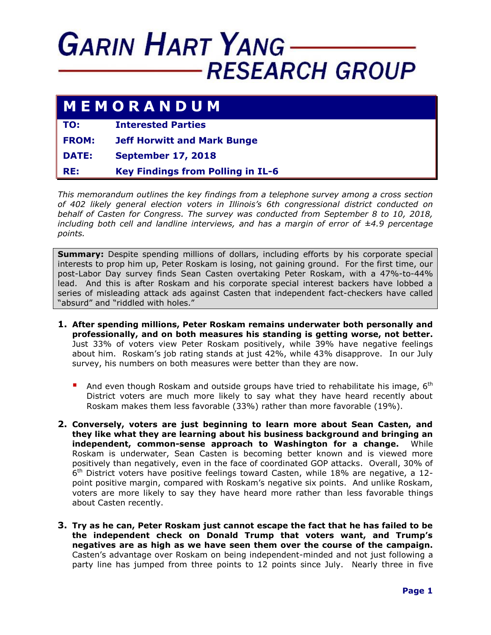## **GARIN HART YANG RESEARCH GROUP**

## **M E M O R A N D U M**

**TO: Interested Parties**

**FROM: Jeff Horwitt and Mark Bunge**

**DATE: September 17, 2018**

**RE: Key Findings from Polling in IL-6**

*This memorandum outlines the key findings from a telephone survey among a cross section of 402 likely general election voters in Illinois's 6th congressional district conducted on behalf of Casten for Congress. The survey was conducted from September 8 to 10, 2018, including both cell and landline interviews, and has a margin of error of ±4.9 percentage points.*

**Summary:** Despite spending millions of dollars, including efforts by his corporate special interests to prop him up, Peter Roskam is losing, not gaining ground. For the first time, our post-Labor Day survey finds Sean Casten overtaking Peter Roskam, with a 47%-to-44% lead. And this is after Roskam and his corporate special interest backers have lobbed a series of misleading attack ads against Casten that independent fact-checkers have called "absurd" and "riddled with holes."

- **1. After spending millions, Peter Roskam remains underwater both personally and professionally, and on both measures his standing is getting worse, not better.** Just 33% of voters view Peter Roskam positively, while 39% have negative feelings about him. Roskam's job rating stands at just 42%, while 43% disapprove. In our July survey, his numbers on both measures were better than they are now.
	- And even though Roskam and outside groups have tried to rehabilitate his image,  $6<sup>th</sup>$ District voters are much more likely to say what they have heard recently about Roskam makes them less favorable (33%) rather than more favorable (19%).
- **2. Conversely, voters are just beginning to learn more about Sean Casten, and they like what they are learning about his business background and bringing an independent, common-sense approach to Washington for a change.** While Roskam is underwater, Sean Casten is becoming better known and is viewed more positively than negatively, even in the face of coordinated GOP attacks. Overall, 30% of  $6<sup>th</sup>$  District voters have positive feelings toward Casten, while 18% are negative, a 12point positive margin, compared with Roskam's negative six points. And unlike Roskam, voters are more likely to say they have heard more rather than less favorable things about Casten recently.
- **3. Try as he can, Peter Roskam just cannot escape the fact that he has failed to be the independent check on Donald Trump that voters want, and Trump's negatives are as high as we have seen them over the course of the campaign.** Casten's advantage over Roskam on being independent-minded and not just following a party line has jumped from three points to 12 points since July. Nearly three in five